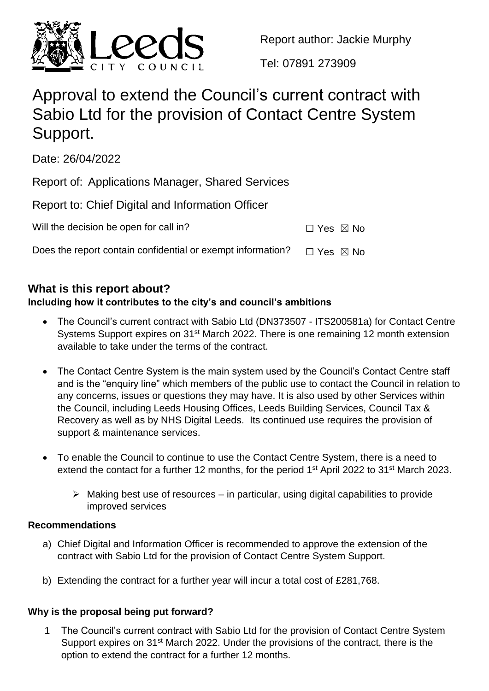

Report author: Jackie Murphy

Tel: 07891 273909

# Approval to extend the Council's current contract with Sabio Ltd for the provision of Contact Centre System Support.

Date: 26/04/2022

Report of: Applications Manager, Shared Services

|  | Report to: Chief Digital and Information Officer |
|--|--------------------------------------------------|
|--|--------------------------------------------------|

| Will the decision be open for call in? | $\Box$ Yes $\boxtimes$ No |  |  |
|----------------------------------------|---------------------------|--|--|
|----------------------------------------|---------------------------|--|--|

Does the report contain confidential or exempt information?  $\Box$  Yes  $\boxtimes$  No

# **What is this report about?**

# **Including how it contributes to the city's and council's ambitions**

- The Council's current contract with Sabio Ltd (DN373507 ITS200581a) for Contact Centre Systems Support expires on 31<sup>st</sup> March 2022. There is one remaining 12 month extension available to take under the terms of the contract.
- The Contact Centre System is the main system used by the Council's Contact Centre staff and is the "enquiry line" which members of the public use to contact the Council in relation to any concerns, issues or questions they may have. It is also used by other Services within the Council, including Leeds Housing Offices, Leeds Building Services, Council Tax & Recovery as well as by NHS Digital Leeds. Its continued use requires the provision of support & maintenance services.
- To enable the Council to continue to use the Contact Centre System, there is a need to extend the contact for a further 12 months, for the period 1<sup>st</sup> April 2022 to 31<sup>st</sup> March 2023.
	- $\triangleright$  Making best use of resources in particular, using digital capabilities to provide improved services

# **Recommendations**

- a) Chief Digital and Information Officer is recommended to approve the extension of the contract with Sabio Ltd for the provision of Contact Centre System Support.
- b) Extending the contract for a further year will incur a total cost of £281,768.

# **Why is the proposal being put forward?**

1 The Council's current contract with Sabio Ltd for the provision of Contact Centre System Support expires on 31st March 2022. Under the provisions of the contract, there is the option to extend the contract for a further 12 months.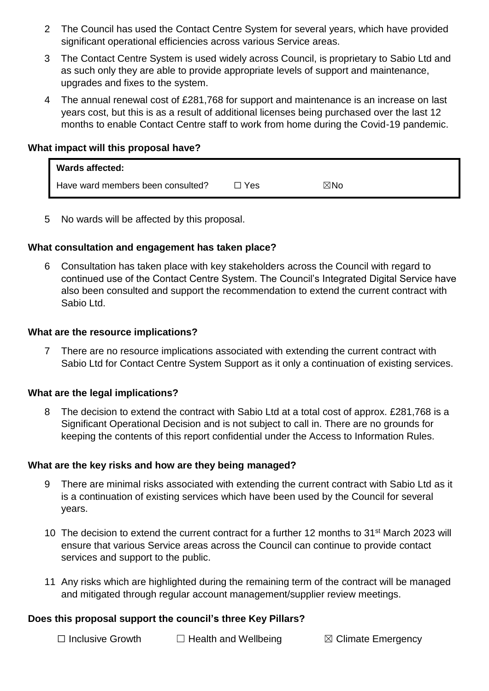- 2 The Council has used the Contact Centre System for several years, which have provided significant operational efficiencies across various Service areas.
- 3 The Contact Centre System is used widely across Council, is proprietary to Sabio Ltd and as such only they are able to provide appropriate levels of support and maintenance, upgrades and fixes to the system.
- 4 The annual renewal cost of £281,768 for support and maintenance is an increase on last years cost, but this is as a result of additional licenses being purchased over the last 12 months to enable Contact Centre staff to work from home during the Covid-19 pandemic.

#### **What impact will this proposal have?**

| <b>Wards affected:</b>            |       |                |
|-----------------------------------|-------|----------------|
| Have ward members been consulted? | □ Yes | $\boxtimes$ No |

5 No wards will be affected by this proposal.

## **What consultation and engagement has taken place?**

6 Consultation has taken place with key stakeholders across the Council with regard to continued use of the Contact Centre System. The Council's Integrated Digital Service have also been consulted and support the recommendation to extend the current contract with Sabio Ltd.

#### **What are the resource implications?**

7 There are no resource implications associated with extending the current contract with Sabio Ltd for Contact Centre System Support as it only a continuation of existing services.

#### **What are the legal implications?**

8 The decision to extend the contract with Sabio Ltd at a total cost of approx. £281,768 is a Significant Operational Decision and is not subject to call in. There are no grounds for keeping the contents of this report confidential under the Access to Information Rules.

#### **What are the key risks and how are they being managed?**

- 9 There are minimal risks associated with extending the current contract with Sabio Ltd as it is a continuation of existing services which have been used by the Council for several years.
- 10 The decision to extend the current contract for a further 12 months to 31<sup>st</sup> March 2023 will ensure that various Service areas across the Council can continue to provide contact services and support to the public.
- 11 Any risks which are highlighted during the remaining term of the contract will be managed and mitigated through regular account management/supplier review meetings.

#### **Does this proposal support the council's three Key Pillars?**

☐ Inclusive Growth ☐ Health and Wellbeing ☒ Climate Emergency